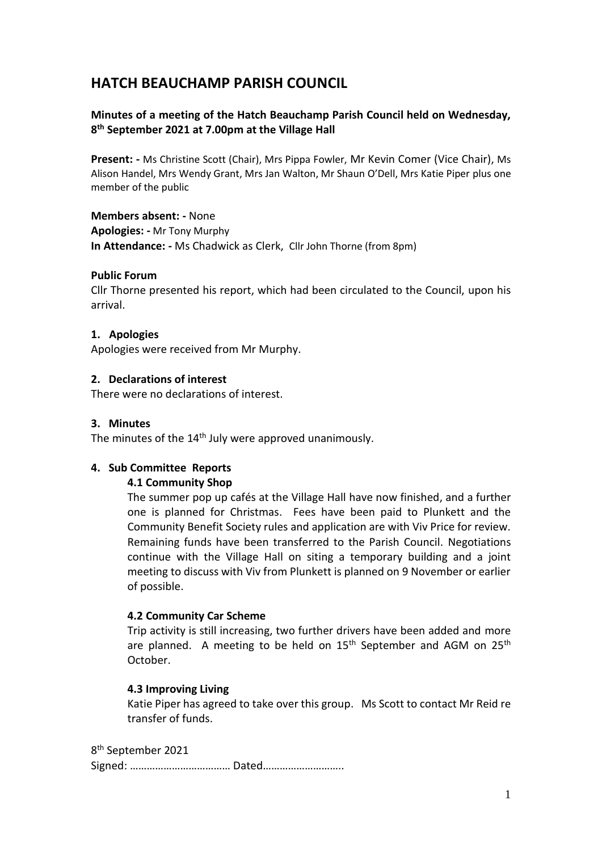# **HATCH BEAUCHAMP PARISH COUNCIL**

# **Minutes of a meeting of the Hatch Beauchamp Parish Council held on Wednesday, 8 th September 2021 at 7.00pm at the Village Hall**

**Present: -** Ms Christine Scott (Chair), Mrs Pippa Fowler, Mr Kevin Comer (Vice Chair), Ms Alison Handel, Mrs Wendy Grant, Mrs Jan Walton, Mr Shaun O'Dell, Mrs Katie Piper plus one member of the public

**Members absent: -** None

**Apologies: -** Mr Tony Murphy

**In Attendance: -** Ms Chadwick as Clerk, Cllr John Thorne (from 8pm)

# **Public Forum**

Cllr Thorne presented his report, which had been circulated to the Council, upon his arrival.

# **1. Apologies**

Apologies were received from Mr Murphy.

# **2. Declarations of interest**

There were no declarations of interest.

#### **3. Minutes**

The minutes of the  $14<sup>th</sup>$  July were approved unanimously.

#### **4. Sub Committee Reports**

#### **4.1 Community Shop**

The summer pop up cafés at the Village Hall have now finished, and a further one is planned for Christmas. Fees have been paid to Plunkett and the Community Benefit Society rules and application are with Viv Price for review. Remaining funds have been transferred to the Parish Council. Negotiations continue with the Village Hall on siting a temporary building and a joint meeting to discuss with Viv from Plunkett is planned on 9 November or earlier of possible.

#### **4.2 Community Car Scheme**

Trip activity is still increasing, two further drivers have been added and more are planned. A meeting to be held on  $15<sup>th</sup>$  September and AGM on  $25<sup>th</sup>$ October.

#### **4.3 Improving Living**

Katie Piper has agreed to take over this group. Ms Scott to contact Mr Reid re transfer of funds.

8 th September 2021 Signed: ……………………………… Dated………………………..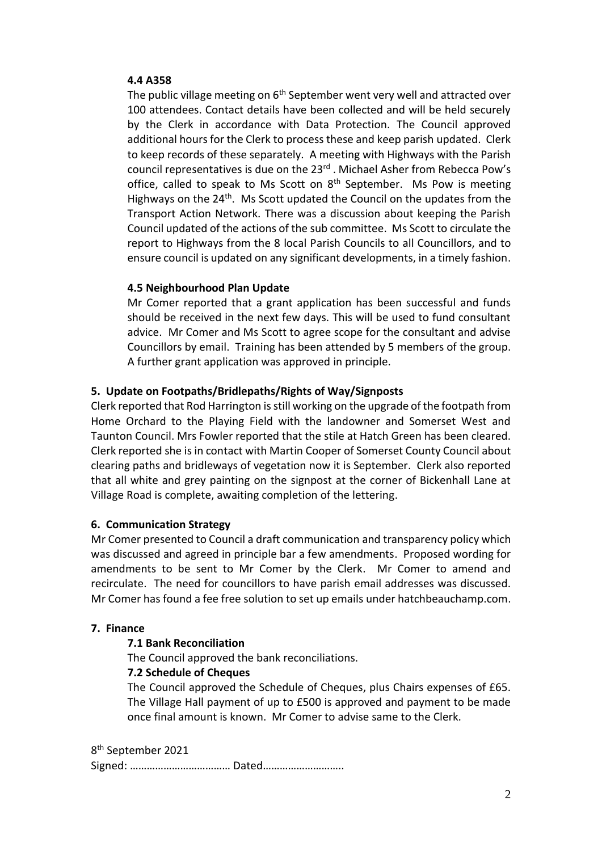#### **4.4 A358**

The public village meeting on  $6<sup>th</sup>$  September went very well and attracted over 100 attendees. Contact details have been collected and will be held securely by the Clerk in accordance with Data Protection. The Council approved additional hours for the Clerk to process these and keep parish updated. Clerk to keep records of these separately. A meeting with Highways with the Parish council representatives is due on the 23<sup>rd</sup>. Michael Asher from Rebecca Pow's office, called to speak to Ms Scott on  $8<sup>th</sup>$  September. Ms Pow is meeting Highways on the 24<sup>th</sup>. Ms Scott updated the Council on the updates from the Transport Action Network. There was a discussion about keeping the Parish Council updated of the actions of the sub committee. Ms Scott to circulate the report to Highways from the 8 local Parish Councils to all Councillors, and to ensure council is updated on any significant developments, in a timely fashion.

# **4.5 Neighbourhood Plan Update**

Mr Comer reported that a grant application has been successful and funds should be received in the next few days. This will be used to fund consultant advice. Mr Comer and Ms Scott to agree scope for the consultant and advise Councillors by email. Training has been attended by 5 members of the group. A further grant application was approved in principle.

# **5. Update on Footpaths/Bridlepaths/Rights of Way/Signposts**

Clerk reported that Rod Harrington is still working on the upgrade of the footpath from Home Orchard to the Playing Field with the landowner and Somerset West and Taunton Council. Mrs Fowler reported that the stile at Hatch Green has been cleared. Clerk reported she is in contact with Martin Cooper of Somerset County Council about clearing paths and bridleways of vegetation now it is September. Clerk also reported that all white and grey painting on the signpost at the corner of Bickenhall Lane at Village Road is complete, awaiting completion of the lettering.

#### **6. Communication Strategy**

Mr Comer presented to Council a draft communication and transparency policy which was discussed and agreed in principle bar a few amendments. Proposed wording for amendments to be sent to Mr Comer by the Clerk. Mr Comer to amend and recirculate. The need for councillors to have parish email addresses was discussed. Mr Comer has found a fee free solution to set up emails under hatchbeauchamp.com.

#### **7. Finance**

# **7.1 Bank Reconciliation**

The Council approved the bank reconciliations.

#### **7.2 Schedule of Cheques**

The Council approved the Schedule of Cheques, plus Chairs expenses of £65. The Village Hall payment of up to £500 is approved and payment to be made once final amount is known. Mr Comer to advise same to the Clerk.

8 th September 2021 Signed: ……………………………… Dated………………………..